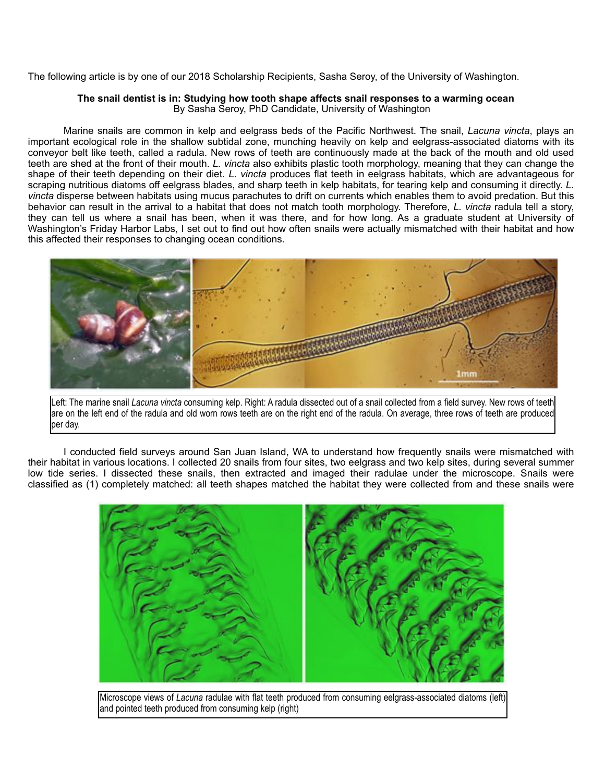The following article is by one of our 2018 Scholarship Recipients, Sasha Seroy, of the University of Washington.

## **The snail dentist is in: Studying how tooth shape affects snail responses to a warming ocean** By Sasha Seroy, PhD Candidate, University of Washington

 Marine snails are common in kelp and eelgrass beds of the Pacific Northwest. The snail, *Lacuna vincta*, plays an important ecological role in the shallow subtidal zone, munching heavily on kelp and eelgrass-associated diatoms with its conveyor belt like teeth, called a radula. New rows of teeth are continuously made at the back of the mouth and old used teeth are shed at the front of their mouth. *L. vincta* also exhibits plastic tooth morphology, meaning that they can change the shape of their teeth depending on their diet. *L. vincta* produces flat teeth in eelgrass habitats, which are advantageous for scraping nutritious diatoms off eelgrass blades, and sharp teeth in kelp habitats, for tearing kelp and consuming it directly. *L. vincta* disperse between habitats using mucus parachutes to drift on currents which enables them to avoid predation. But this behavior can result in the arrival to a habitat that does not match tooth morphology. Therefore, *L. vincta* radula tell a story, they can tell us where a snail has been, when it was there, and for how long. As a graduate student at University of Washington's Friday Harbor Labs, I set out to find out how often snails were actually mismatched with their habitat and how this affected their responses to changing ocean conditions.



Left: The marine snail *Lacuna vincta* consuming kelp. Right: A radula dissected out of a snail collected from a field survey. New rows of teeth are on the left end of the radula and old worn rows teeth are on the right end of the radula. On average, three rows of teeth are produced lper day.

 I conducted field surveys around San Juan Island, WA to understand how frequently snails were mismatched with their habitat in various locations. I collected 20 snails from four sites, two eelgrass and two kelp sites, during several summer low tide series. I dissected these snails, then extracted and imaged their radulae under the microscope. Snails were classified as (1) completely matched: all teeth shapes matched the habitat they were collected from and these snails were



Microscope views of *Lacuna* radulae with flat teeth produced from consuming eelgrass-associated diatoms (left) and pointed teeth produced from consuming kelp (right)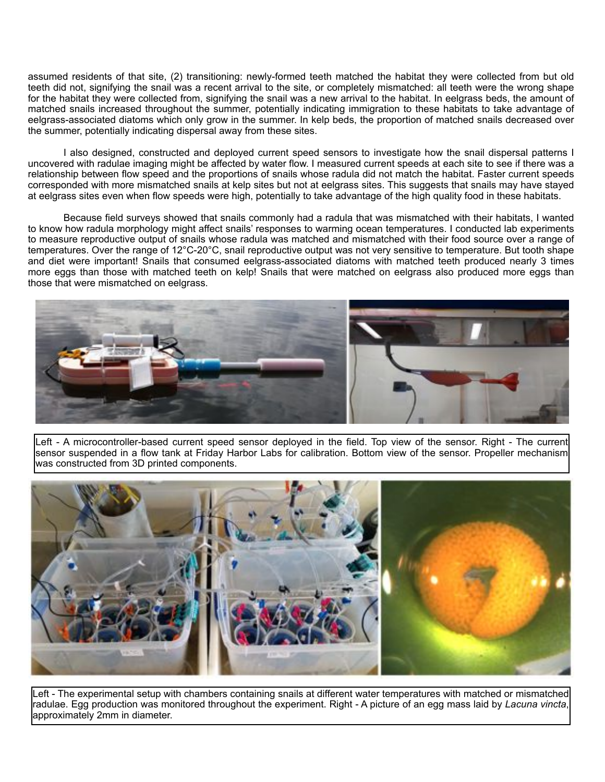assumed residents of that site, (2) transitioning: newly-formed teeth matched the habitat they were collected from but old teeth did not, signifying the snail was a recent arrival to the site, or completely mismatched: all teeth were the wrong shape for the habitat they were collected from, signifying the snail was a new arrival to the habitat. In eelgrass beds, the amount of matched snails increased throughout the summer, potentially indicating immigration to these habitats to take advantage of eelgrass-associated diatoms which only grow in the summer. In kelp beds, the proportion of matched snails decreased over the summer, potentially indicating dispersal away from these sites.

 I also designed, constructed and deployed current speed sensors to investigate how the snail dispersal patterns I uncovered with radulae imaging might be affected by water flow. I measured current speeds at each site to see if there was a relationship between flow speed and the proportions of snails whose radula did not match the habitat. Faster current speeds corresponded with more mismatched snails at kelp sites but not at eelgrass sites. This suggests that snails may have stayed at eelgrass sites even when flow speeds were high, potentially to take advantage of the high quality food in these habitats.

 Because field surveys showed that snails commonly had a radula that was mismatched with their habitats, I wanted to know how radula morphology might affect snails' responses to warming ocean temperatures. I conducted lab experiments to measure reproductive output of snails whose radula was matched and mismatched with their food source over a range of temperatures. Over the range of 12°C-20°C, snail reproductive output was not very sensitive to temperature. But tooth shape and diet were important! Snails that consumed eelgrass-associated diatoms with matched teeth produced nearly 3 times more eggs than those with matched teeth on kelp! Snails that were matched on eelgrass also produced more eggs than those that were mismatched on eelgrass.



Left - A microcontroller-based current speed sensor deployed in the field. Top view of the sensor. Right - The current sensor suspended in a flow tank at Friday Harbor Labs for calibration. Bottom view of the sensor. Propeller mechanism was constructed from 3D printed components.



Left - The experimental setup with chambers containing snails at different water temperatures with matched or mismatched radulae. Egg production was monitored throughout the experiment. Right - A picture of an egg mass laid by *Lacuna vincta*, approximately 2mm in diameter.